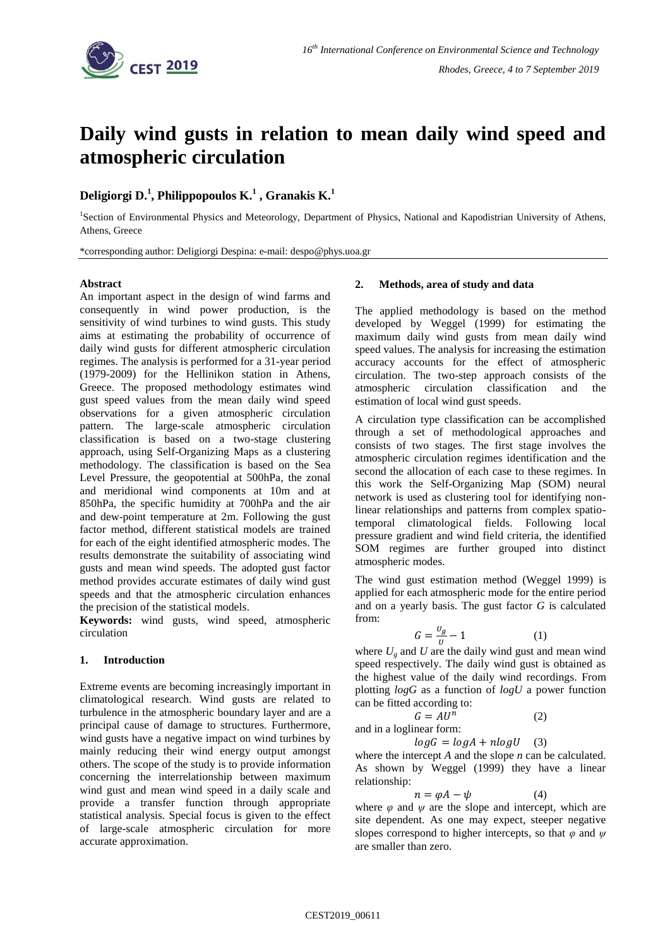

# **Daily wind gusts in relation to mean daily wind speed and atmospheric circulation**

# **Deligiorgi D.<sup>1</sup> , Philippopoulos K.<sup>1</sup> , Granakis K.<sup>1</sup>**

<sup>1</sup>Section of Environmental Physics and Meteorology, Department of Physics, National and Kapodistrian University of Athens, Athens, Greece

\*corresponding author: Deligiorgi Despina: e-mail: despo@phys.uoa.gr

## **Abstract**

An important aspect in the design of wind farms and consequently in wind power production, is the sensitivity of wind turbines to wind gusts. This study aims at estimating the probability of occurrence of daily wind gusts for different atmospheric circulation regimes. The analysis is performed for a 31-year period (1979-2009) for the Hellinikon station in Athens, Greece. The proposed methodology estimates wind gust speed values from the mean daily wind speed observations for a given atmospheric circulation pattern. The large-scale atmospheric circulation classification is based on a two-stage clustering approach, using Self-Organizing Maps as a clustering methodology. The classification is based on the Sea Level Pressure, the geopotential at 500hPa, the zonal and meridional wind components at 10m and at 850hPa, the specific humidity at 700hPa and the air and dew-point temperature at 2m. Following the gust factor method, different statistical models are trained for each of the eight identified atmospheric modes. The results demonstrate the suitability of associating wind gusts and mean wind speeds. The adopted gust factor method provides accurate estimates of daily wind gust speeds and that the atmospheric circulation enhances the precision of the statistical models.

**Keywords:** wind gusts, wind speed, atmospheric circulation

# **1. Introduction**

Extreme events are becoming increasingly important in climatological research. Wind gusts are related to turbulence in the atmospheric boundary layer and are a principal cause of damage to structures. Furthermore, wind gusts have a negative impact on wind turbines by mainly reducing their wind energy output amongst others. The scope of the study is to provide information concerning the interrelationship between maximum wind gust and mean wind speed in a daily scale and provide a transfer function through appropriate statistical analysis. Special focus is given to the effect of large-scale atmospheric circulation for more accurate approximation.

## **2. Methods, area of study and data**

The applied methodology is based on the method developed by Weggel (1999) for estimating the maximum daily wind gusts from mean daily wind speed values. The analysis for increasing the estimation accuracy accounts for the effect of atmospheric circulation. The two-step approach consists of the atmospheric circulation classification and the estimation of local wind gust speeds.

A circulation type classification can be accomplished through a set of methodological approaches and consists of two stages. The first stage involves the atmospheric circulation regimes identification and the second the allocation of each case to these regimes. In this work the Self-Organizing Map (SOM) neural network is used as clustering tool for identifying nonlinear relationships and patterns from complex spatiotemporal climatological fields. Following local pressure gradient and wind field criteria, the identified SOM regimes are further grouped into distinct atmospheric modes.

The wind gust estimation method (Weggel 1999) is applied for each atmospheric mode for the entire period and on a yearly basis. The gust factor *G* is calculated from:

$$
G = \frac{v_g}{u} - 1\tag{1}
$$

where  $U_g$  and  $U$  are the daily wind gust and mean wind speed respectively. The daily wind gust is obtained as the highest value of the daily wind recordings. From plotting *logG* as a function of *logU* a power function can be fitted according to:

(2)

 $G = AU^n$ and in a loglinear form:

 $logG = logA + nlogU$  (3)

where the intercept *A* and the slope *n* can be calculated. As shown by Weggel (1999) they have a linear relationship:

$$
n = \varphi A - \psi \tag{4}
$$

where  $\varphi$  and  $\psi$  are the slope and intercept, which are site dependent. As one may expect, steeper negative slopes correspond to higher intercepts, so that *φ* and *ψ* are smaller than zero*.*